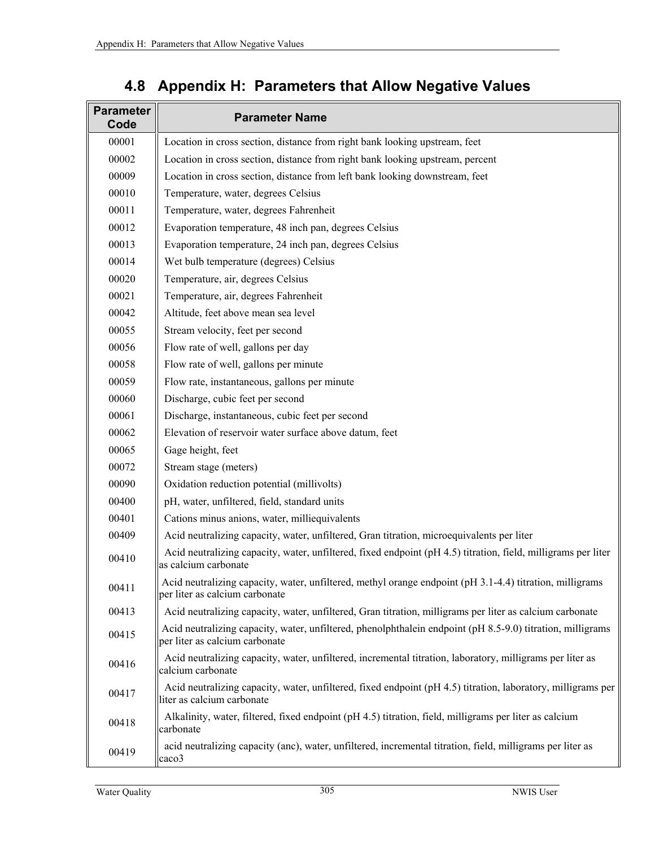| <b>Parameter</b><br>Code | <b>Parameter Name</b>                                                                                                                        |
|--------------------------|----------------------------------------------------------------------------------------------------------------------------------------------|
| 00001                    | Location in cross section, distance from right bank looking upstream, feet                                                                   |
| 00002                    | Location in cross section, distance from right bank looking upstream, percent                                                                |
| 00009                    | Location in cross section, distance from left bank looking downstream, feet                                                                  |
| 00010                    | Temperature, water, degrees Celsius                                                                                                          |
| 00011                    | Temperature, water, degrees Fahrenheit                                                                                                       |
| 00012                    | Evaporation temperature, 48 inch pan, degrees Celsius                                                                                        |
| 00013                    | Evaporation temperature, 24 inch pan, degrees Celsius                                                                                        |
| 00014                    | Wet bulb temperature (degrees) Celsius                                                                                                       |
| 00020                    | Temperature, air, degrees Celsius                                                                                                            |
| 00021                    | Temperature, air, degrees Fahrenheit                                                                                                         |
| 00042                    | Altitude, feet above mean sea level                                                                                                          |
| 00055                    | Stream velocity, feet per second                                                                                                             |
| 00056                    | Flow rate of well, gallons per day                                                                                                           |
| 00058                    | Flow rate of well, gallons per minute                                                                                                        |
| 00059                    | Flow rate, instantaneous, gallons per minute                                                                                                 |
| 00060                    | Discharge, cubic feet per second                                                                                                             |
| 00061                    | Discharge, instantaneous, cubic feet per second                                                                                              |
| 00062                    | Elevation of reservoir water surface above datum, feet                                                                                       |
| 00065                    | Gage height, feet                                                                                                                            |
| 00072                    | Stream stage (meters)                                                                                                                        |
| 00090                    | Oxidation reduction potential (millivolts)                                                                                                   |
| 00400                    | pH, water, unfiltered, field, standard units                                                                                                 |
| 00401                    | Cations minus anions, water, milliequivalents                                                                                                |
| 00409                    | Acid neutralizing capacity, water, unfiltered, Gran titration, microequivalents per liter                                                    |
| 00410                    | Acid neutralizing capacity, water, unfiltered, fixed endpoint (pH 4.5) titration, field, milligrams per liter<br>as calcium carbonate        |
| 00411                    | Acid neutralizing capacity, water, unfiltered, methyl orange endpoint (pH 3.1-4.4) titration, milligrams<br>per liter as calcium carbonate   |
| 00413                    | Acid neutralizing capacity, water, unfiltered, Gran titration, milligrams per liter as calcium carbonate                                     |
| 00415                    | Acid neutralizing capacity, water, unfiltered, phenolphthalein endpoint (pH 8.5-9.0) titration, milligrams<br>per liter as calcium carbonate |
| 00416                    | Acid neutralizing capacity, water, unfiltered, incremental titration, laboratory, milligrams per liter as<br>calcium carbonate               |
| 00417                    | Acid neutralizing capacity, water, unfiltered, fixed endpoint (pH 4.5) titration, laboratory, milligrams per<br>liter as calcium carbonate   |
| 00418                    | Alkalinity, water, filtered, fixed endpoint (pH 4.5) titration, field, milligrams per liter as calcium<br>carbonate                          |
| 00419                    | acid neutralizing capacity (anc), water, unfiltered, incremental titration, field, milligrams per liter as<br>caco3                          |

## **4.8 Appendix H: Parameters that Allow Negative Values**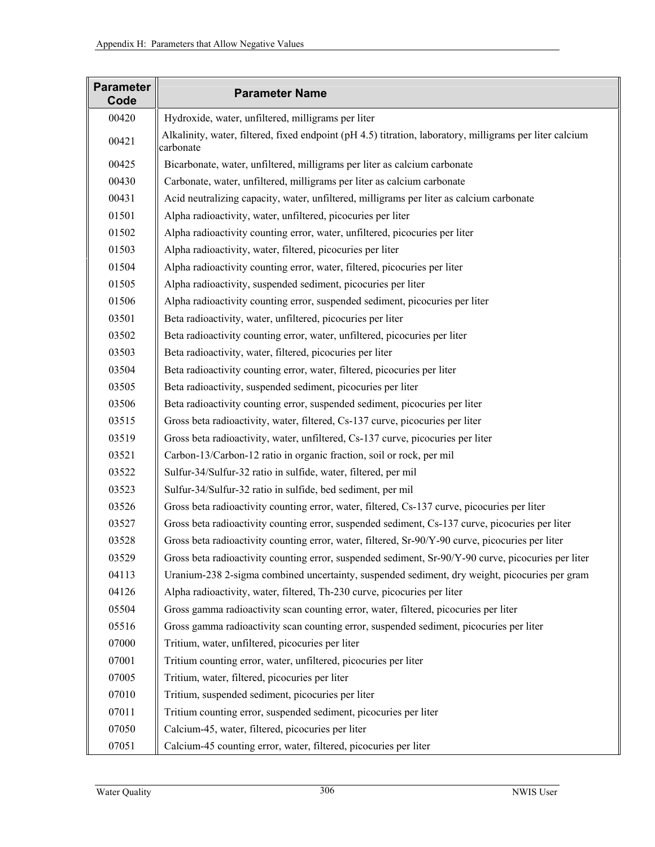| <b>Parameter</b><br>Code | <b>Parameter Name</b>                                                                                                 |
|--------------------------|-----------------------------------------------------------------------------------------------------------------------|
| 00420                    | Hydroxide, water, unfiltered, milligrams per liter                                                                    |
| 00421                    | Alkalinity, water, filtered, fixed endpoint (pH 4.5) titration, laboratory, milligrams per liter calcium<br>carbonate |
| 00425                    | Bicarbonate, water, unfiltered, milligrams per liter as calcium carbonate                                             |
| 00430                    | Carbonate, water, unfiltered, milligrams per liter as calcium carbonate                                               |
| 00431                    | Acid neutralizing capacity, water, unfiltered, milligrams per liter as calcium carbonate                              |
| 01501                    | Alpha radioactivity, water, unfiltered, picocuries per liter                                                          |
| 01502                    | Alpha radioactivity counting error, water, unfiltered, picocuries per liter                                           |
| 01503                    | Alpha radioactivity, water, filtered, picocuries per liter                                                            |
| 01504                    | Alpha radioactivity counting error, water, filtered, picocuries per liter                                             |
| 01505                    | Alpha radioactivity, suspended sediment, picocuries per liter                                                         |
| 01506                    | Alpha radioactivity counting error, suspended sediment, picocuries per liter                                          |
| 03501                    | Beta radioactivity, water, unfiltered, picocuries per liter                                                           |
| 03502                    | Beta radioactivity counting error, water, unfiltered, picocuries per liter                                            |
| 03503                    | Beta radioactivity, water, filtered, picocuries per liter                                                             |
| 03504                    | Beta radioactivity counting error, water, filtered, picocuries per liter                                              |
| 03505                    | Beta radioactivity, suspended sediment, picocuries per liter                                                          |
| 03506                    | Beta radioactivity counting error, suspended sediment, picocuries per liter                                           |
| 03515                    | Gross beta radioactivity, water, filtered, Cs-137 curve, picocuries per liter                                         |
| 03519                    | Gross beta radioactivity, water, unfiltered, Cs-137 curve, picocuries per liter                                       |
| 03521                    | Carbon-13/Carbon-12 ratio in organic fraction, soil or rock, per mil                                                  |
| 03522                    | Sulfur-34/Sulfur-32 ratio in sulfide, water, filtered, per mil                                                        |
| 03523                    | Sulfur-34/Sulfur-32 ratio in sulfide, bed sediment, per mil                                                           |
| 03526                    | Gross beta radioactivity counting error, water, filtered, Cs-137 curve, picocuries per liter                          |
| 03527                    | Gross beta radioactivity counting error, suspended sediment, Cs-137 curve, picocuries per liter                       |
| 03528                    | Gross beta radioactivity counting error, water, filtered, Sr-90/Y-90 curve, picocuries per liter                      |
| 03529                    | Gross beta radioactivity counting error, suspended sediment, Sr-90/Y-90 curve, picocuries per liter                   |
| 04113                    | Uranium-238 2-sigma combined uncertainty, suspended sediment, dry weight, picocuries per gram                         |
| 04126                    | Alpha radioactivity, water, filtered, Th-230 curve, picocuries per liter                                              |
| 05504                    | Gross gamma radioactivity scan counting error, water, filtered, picocuries per liter                                  |
| 05516                    | Gross gamma radioactivity scan counting error, suspended sediment, picocuries per liter                               |
| 07000                    | Tritium, water, unfiltered, picocuries per liter                                                                      |
| 07001                    | Tritium counting error, water, unfiltered, picocuries per liter                                                       |
| 07005                    | Tritium, water, filtered, picocuries per liter                                                                        |
| 07010                    | Tritium, suspended sediment, picocuries per liter                                                                     |
| 07011                    | Tritium counting error, suspended sediment, picocuries per liter                                                      |
| 07050                    | Calcium-45, water, filtered, picocuries per liter                                                                     |
| 07051                    | Calcium-45 counting error, water, filtered, picocuries per liter                                                      |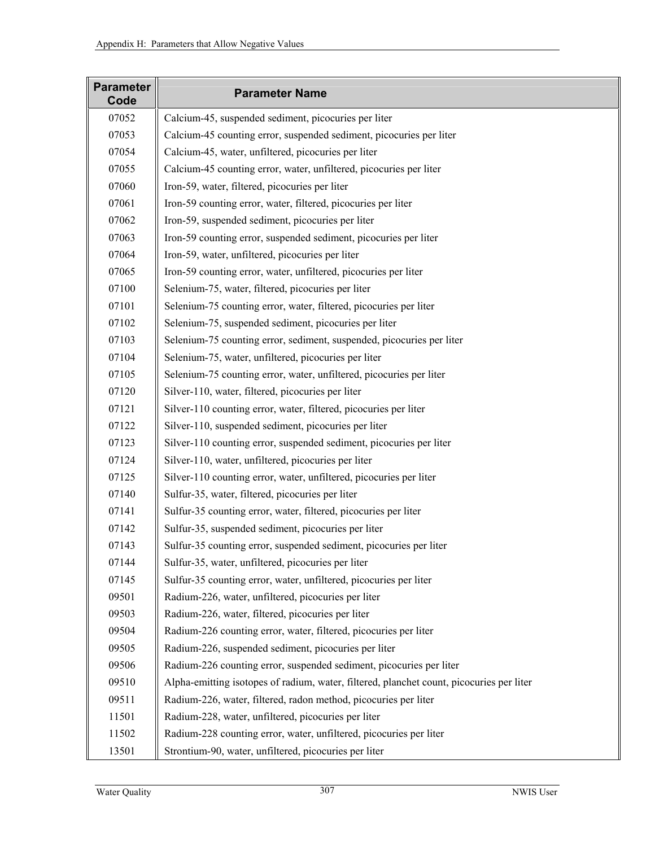| <b>Parameter</b><br>Code | <b>Parameter Name</b>                                                                    |
|--------------------------|------------------------------------------------------------------------------------------|
| 07052                    | Calcium-45, suspended sediment, picocuries per liter                                     |
| 07053                    | Calcium-45 counting error, suspended sediment, picocuries per liter                      |
| 07054                    | Calcium-45, water, unfiltered, picocuries per liter                                      |
| 07055                    | Calcium-45 counting error, water, unfiltered, picocuries per liter                       |
| 07060                    | Iron-59, water, filtered, picocuries per liter                                           |
| 07061                    | Iron-59 counting error, water, filtered, picocuries per liter                            |
| 07062                    | Iron-59, suspended sediment, picocuries per liter                                        |
| 07063                    | Iron-59 counting error, suspended sediment, picocuries per liter                         |
| 07064                    | Iron-59, water, unfiltered, picocuries per liter                                         |
| 07065                    | Iron-59 counting error, water, unfiltered, picocuries per liter                          |
| 07100                    | Selenium-75, water, filtered, picocuries per liter                                       |
| 07101                    | Selenium-75 counting error, water, filtered, picocuries per liter                        |
| 07102                    | Selenium-75, suspended sediment, picocuries per liter                                    |
| 07103                    | Selenium-75 counting error, sediment, suspended, picocuries per liter                    |
| 07104                    | Selenium-75, water, unfiltered, picocuries per liter                                     |
| 07105                    | Selenium-75 counting error, water, unfiltered, picocuries per liter                      |
| 07120                    | Silver-110, water, filtered, picocuries per liter                                        |
| 07121                    | Silver-110 counting error, water, filtered, picocuries per liter                         |
| 07122                    | Silver-110, suspended sediment, picocuries per liter                                     |
| 07123                    | Silver-110 counting error, suspended sediment, picocuries per liter                      |
| 07124                    | Silver-110, water, unfiltered, picocuries per liter                                      |
| 07125                    | Silver-110 counting error, water, unfiltered, picocuries per liter                       |
| 07140                    | Sulfur-35, water, filtered, picocuries per liter                                         |
| 07141                    | Sulfur-35 counting error, water, filtered, picocuries per liter                          |
| 07142                    | Sulfur-35, suspended sediment, picocuries per liter                                      |
| 07143                    | Sulfur-35 counting error, suspended sediment, picocuries per liter                       |
| 07144                    | Sulfur-35, water, unfiltered, picocuries per liter                                       |
| 07145                    | Sulfur-35 counting error, water, unfiltered, picocuries per liter                        |
| 09501                    | Radium-226, water, unfiltered, picocuries per liter                                      |
| 09503                    | Radium-226, water, filtered, picocuries per liter                                        |
| 09504                    | Radium-226 counting error, water, filtered, picocuries per liter                         |
| 09505                    | Radium-226, suspended sediment, picocuries per liter                                     |
| 09506                    | Radium-226 counting error, suspended sediment, picocuries per liter                      |
| 09510                    | Alpha-emitting isotopes of radium, water, filtered, planchet count, picocuries per liter |
| 09511                    | Radium-226, water, filtered, radon method, picocuries per liter                          |
| 11501                    | Radium-228, water, unfiltered, picocuries per liter                                      |
| 11502                    | Radium-228 counting error, water, unfiltered, picocuries per liter                       |
| 13501                    | Strontium-90, water, unfiltered, picocuries per liter                                    |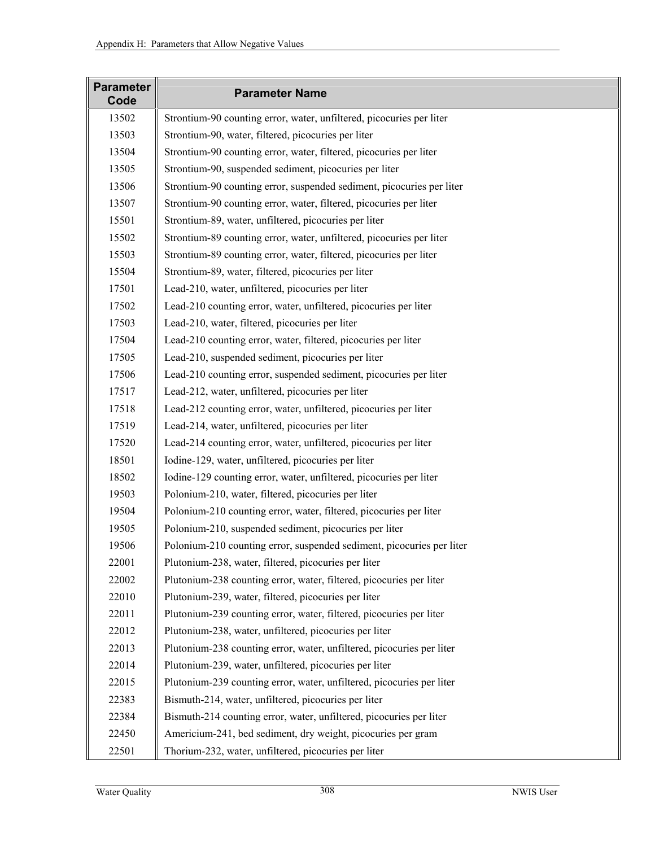| <b>Parameter</b><br>Code | <b>Parameter Name</b>                                                 |
|--------------------------|-----------------------------------------------------------------------|
| 13502                    | Strontium-90 counting error, water, unfiltered, picocuries per liter  |
| 13503                    | Strontium-90, water, filtered, picocuries per liter                   |
| 13504                    | Strontium-90 counting error, water, filtered, picocuries per liter    |
| 13505                    | Strontium-90, suspended sediment, picocuries per liter                |
| 13506                    | Strontium-90 counting error, suspended sediment, picocuries per liter |
| 13507                    | Strontium-90 counting error, water, filtered, picocuries per liter    |
| 15501                    | Strontium-89, water, unfiltered, picocuries per liter                 |
| 15502                    | Strontium-89 counting error, water, unfiltered, picocuries per liter  |
| 15503                    | Strontium-89 counting error, water, filtered, picocuries per liter    |
| 15504                    | Strontium-89, water, filtered, picocuries per liter                   |
| 17501                    | Lead-210, water, unfiltered, picocuries per liter                     |
| 17502                    | Lead-210 counting error, water, unfiltered, picocuries per liter      |
| 17503                    | Lead-210, water, filtered, picocuries per liter                       |
| 17504                    | Lead-210 counting error, water, filtered, picocuries per liter        |
| 17505                    | Lead-210, suspended sediment, picocuries per liter                    |
| 17506                    | Lead-210 counting error, suspended sediment, picocuries per liter     |
| 17517                    | Lead-212, water, unfiltered, picocuries per liter                     |
| 17518                    | Lead-212 counting error, water, unfiltered, picocuries per liter      |
| 17519                    | Lead-214, water, unfiltered, picocuries per liter                     |
| 17520                    | Lead-214 counting error, water, unfiltered, picocuries per liter      |
| 18501                    | Iodine-129, water, unfiltered, picocuries per liter                   |
| 18502                    | Iodine-129 counting error, water, unfiltered, picocuries per liter    |
| 19503                    | Polonium-210, water, filtered, picocuries per liter                   |
| 19504                    | Polonium-210 counting error, water, filtered, picocuries per liter    |
| 19505                    | Polonium-210, suspended sediment, picocuries per liter                |
| 19506                    | Polonium-210 counting error, suspended sediment, picocuries per liter |
| 22001                    | Plutonium-238, water, filtered, picocuries per liter                  |
| 22002                    | Plutonium-238 counting error, water, filtered, picocuries per liter   |
| 22010                    | Plutonium-239, water, filtered, picocuries per liter                  |
| 22011                    | Plutonium-239 counting error, water, filtered, picocuries per liter   |
| 22012                    | Plutonium-238, water, unfiltered, picocuries per liter                |
| 22013                    | Plutonium-238 counting error, water, unfiltered, picocuries per liter |
| 22014                    | Plutonium-239, water, unfiltered, picocuries per liter                |
| 22015                    | Plutonium-239 counting error, water, unfiltered, picocuries per liter |
| 22383                    | Bismuth-214, water, unfiltered, picocuries per liter                  |
| 22384                    | Bismuth-214 counting error, water, unfiltered, picocuries per liter   |
| 22450                    | Americium-241, bed sediment, dry weight, picocuries per gram          |
| 22501                    | Thorium-232, water, unfiltered, picocuries per liter                  |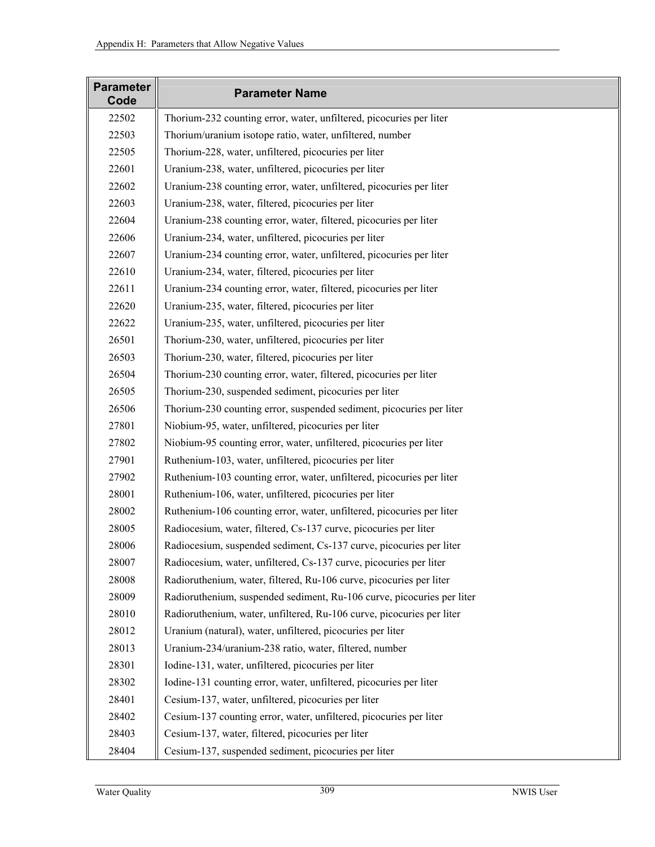| <b>Parameter</b><br>Code | <b>Parameter Name</b>                                                  |
|--------------------------|------------------------------------------------------------------------|
| 22502                    | Thorium-232 counting error, water, unfiltered, picocuries per liter    |
| 22503                    | Thorium/uranium isotope ratio, water, unfiltered, number               |
| 22505                    | Thorium-228, water, unfiltered, picocuries per liter                   |
| 22601                    | Uranium-238, water, unfiltered, picocuries per liter                   |
| 22602                    | Uranium-238 counting error, water, unfiltered, picocuries per liter    |
| 22603                    | Uranium-238, water, filtered, picocuries per liter                     |
| 22604                    | Uranium-238 counting error, water, filtered, picocuries per liter      |
| 22606                    | Uranium-234, water, unfiltered, picocuries per liter                   |
| 22607                    | Uranium-234 counting error, water, unfiltered, picocuries per liter    |
| 22610                    | Uranium-234, water, filtered, picocuries per liter                     |
| 22611                    | Uranium-234 counting error, water, filtered, picocuries per liter      |
| 22620                    | Uranium-235, water, filtered, picocuries per liter                     |
| 22622                    | Uranium-235, water, unfiltered, picocuries per liter                   |
| 26501                    | Thorium-230, water, unfiltered, picocuries per liter                   |
| 26503                    | Thorium-230, water, filtered, picocuries per liter                     |
| 26504                    | Thorium-230 counting error, water, filtered, picocuries per liter      |
| 26505                    | Thorium-230, suspended sediment, picocuries per liter                  |
| 26506                    | Thorium-230 counting error, suspended sediment, picocuries per liter   |
| 27801                    | Niobium-95, water, unfiltered, picocuries per liter                    |
| 27802                    | Niobium-95 counting error, water, unfiltered, picocuries per liter     |
| 27901                    | Ruthenium-103, water, unfiltered, picocuries per liter                 |
| 27902                    | Ruthenium-103 counting error, water, unfiltered, picocuries per liter  |
| 28001                    | Ruthenium-106, water, unfiltered, picocuries per liter                 |
| 28002                    | Ruthenium-106 counting error, water, unfiltered, picocuries per liter  |
| 28005                    | Radiocesium, water, filtered, Cs-137 curve, picocuries per liter       |
| 28006                    | Radiocesium, suspended sediment, Cs-137 curve, picocuries per liter    |
| 28007                    | Radiocesium, water, unfiltered, Cs-137 curve, picocuries per liter     |
| 28008                    | Radioruthenium, water, filtered, Ru-106 curve, picocuries per liter    |
| 28009                    | Radioruthenium, suspended sediment, Ru-106 curve, picocuries per liter |
| 28010                    | Radioruthenium, water, unfiltered, Ru-106 curve, picocuries per liter  |
| 28012                    | Uranium (natural), water, unfiltered, picocuries per liter             |
| 28013                    | Uranium-234/uranium-238 ratio, water, filtered, number                 |
| 28301                    | Iodine-131, water, unfiltered, picocuries per liter                    |
| 28302                    | Iodine-131 counting error, water, unfiltered, picocuries per liter     |
| 28401                    | Cesium-137, water, unfiltered, picocuries per liter                    |
| 28402                    | Cesium-137 counting error, water, unfiltered, picocuries per liter     |
| 28403                    | Cesium-137, water, filtered, picocuries per liter                      |
| 28404                    | Cesium-137, suspended sediment, picocuries per liter                   |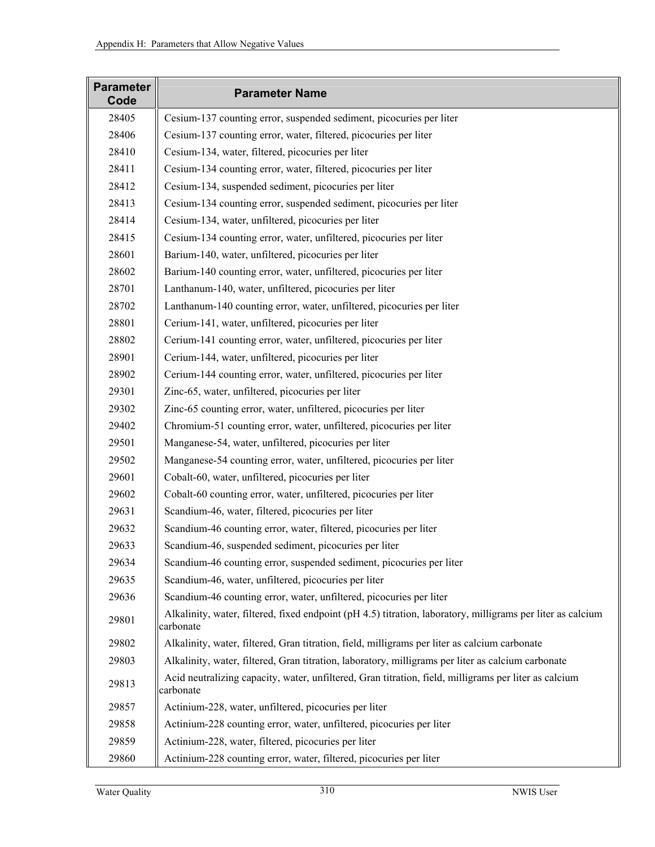| <b>Parameter</b><br>Code | <b>Parameter Name</b>                                                                                                    |
|--------------------------|--------------------------------------------------------------------------------------------------------------------------|
| 28405                    | Cesium-137 counting error, suspended sediment, picocuries per liter                                                      |
| 28406                    | Cesium-137 counting error, water, filtered, picocuries per liter                                                         |
| 28410                    | Cesium-134, water, filtered, picocuries per liter                                                                        |
| 28411                    | Cesium-134 counting error, water, filtered, picocuries per liter                                                         |
| 28412                    | Cesium-134, suspended sediment, picocuries per liter                                                                     |
| 28413                    | Cesium-134 counting error, suspended sediment, picocuries per liter                                                      |
| 28414                    | Cesium-134, water, unfiltered, picocuries per liter                                                                      |
| 28415                    | Cesium-134 counting error, water, unfiltered, picocuries per liter                                                       |
| 28601                    | Barium-140, water, unfiltered, picocuries per liter                                                                      |
| 28602                    | Barium-140 counting error, water, unfiltered, picocuries per liter                                                       |
| 28701                    | Lanthanum-140, water, unfiltered, picocuries per liter                                                                   |
| 28702                    | Lanthanum-140 counting error, water, unfiltered, picocuries per liter                                                    |
| 28801                    | Cerium-141, water, unfiltered, picocuries per liter                                                                      |
| 28802                    | Cerium-141 counting error, water, unfiltered, picocuries per liter                                                       |
| 28901                    | Cerium-144, water, unfiltered, picocuries per liter                                                                      |
| 28902                    | Cerium-144 counting error, water, unfiltered, picocuries per liter                                                       |
| 29301                    | Zinc-65, water, unfiltered, picocuries per liter                                                                         |
| 29302                    | Zinc-65 counting error, water, unfiltered, picocuries per liter                                                          |
| 29402                    | Chromium-51 counting error, water, unfiltered, picocuries per liter                                                      |
| 29501                    | Manganese-54, water, unfiltered, picocuries per liter                                                                    |
| 29502                    | Manganese-54 counting error, water, unfiltered, picocuries per liter                                                     |
| 29601                    | Cobalt-60, water, unfiltered, picocuries per liter                                                                       |
| 29602                    | Cobalt-60 counting error, water, unfiltered, picocuries per liter                                                        |
| 29631                    | Scandium-46, water, filtered, picocuries per liter                                                                       |
| 29632                    | Scandium-46 counting error, water, filtered, picocuries per liter                                                        |
| 29633                    | Scandium-46, suspended sediment, picocuries per liter                                                                    |
| 29634                    | Scandium-46 counting error, suspended sediment, picocuries per liter                                                     |
| 29635                    | Scandium-46, water, unfiltered, picocuries per liter                                                                     |
| 29636                    | Scandium-46 counting error, water, unfiltered, picocuries per liter                                                      |
| 29801                    | Alkalinity, water, filtered, fixed endpoint (pH 4.5) titration, laboratory, milligrams per liter as calcium<br>carbonate |
| 29802                    | Alkalinity, water, filtered, Gran titration, field, milligrams per liter as calcium carbonate                            |
| 29803                    | Alkalinity, water, filtered, Gran titration, laboratory, milligrams per liter as calcium carbonate                       |
| 29813                    | Acid neutralizing capacity, water, unfiltered, Gran titration, field, milligrams per liter as calcium<br>carbonate       |
| 29857                    | Actinium-228, water, unfiltered, picocuries per liter                                                                    |
| 29858                    | Actinium-228 counting error, water, unfiltered, picocuries per liter                                                     |
| 29859                    | Actinium-228, water, filtered, picocuries per liter                                                                      |
| 29860                    | Actinium-228 counting error, water, filtered, picocuries per liter                                                       |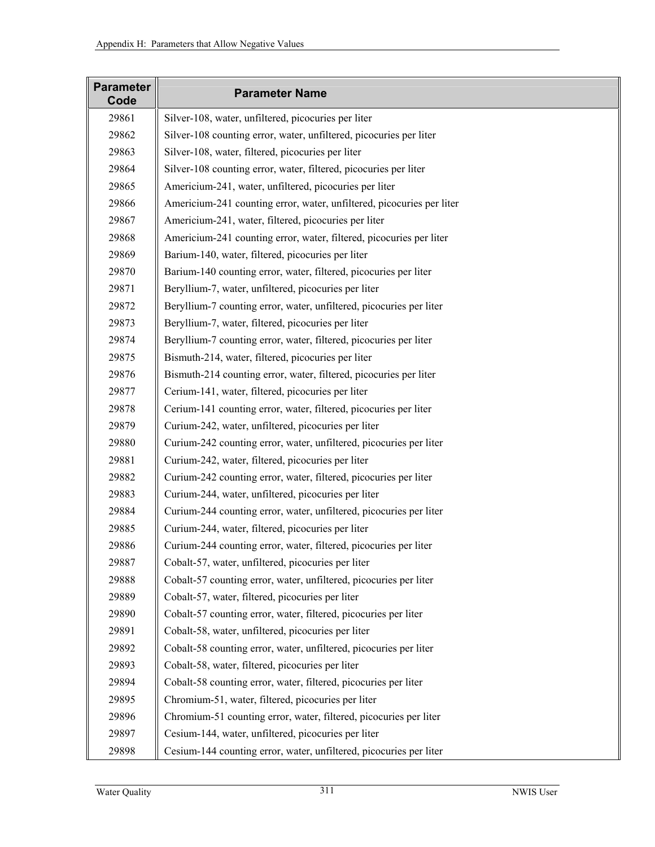| <b>Parameter</b><br>Code | <b>Parameter Name</b>                                                 |
|--------------------------|-----------------------------------------------------------------------|
| 29861                    | Silver-108, water, unfiltered, picocuries per liter                   |
| 29862                    | Silver-108 counting error, water, unfiltered, picocuries per liter    |
| 29863                    | Silver-108, water, filtered, picocuries per liter                     |
| 29864                    | Silver-108 counting error, water, filtered, picocuries per liter      |
| 29865                    | Americium-241, water, unfiltered, picocuries per liter                |
| 29866                    | Americium-241 counting error, water, unfiltered, picocuries per liter |
| 29867                    | Americium-241, water, filtered, picocuries per liter                  |
| 29868                    | Americium-241 counting error, water, filtered, picocuries per liter   |
| 29869                    | Barium-140, water, filtered, picocuries per liter                     |
| 29870                    | Barium-140 counting error, water, filtered, picocuries per liter      |
| 29871                    | Beryllium-7, water, unfiltered, picocuries per liter                  |
| 29872                    | Beryllium-7 counting error, water, unfiltered, picocuries per liter   |
| 29873                    | Beryllium-7, water, filtered, picocuries per liter                    |
| 29874                    | Beryllium-7 counting error, water, filtered, picocuries per liter     |
| 29875                    | Bismuth-214, water, filtered, picocuries per liter                    |
| 29876                    | Bismuth-214 counting error, water, filtered, picocuries per liter     |
| 29877                    | Cerium-141, water, filtered, picocuries per liter                     |
| 29878                    | Cerium-141 counting error, water, filtered, picocuries per liter      |
| 29879                    | Curium-242, water, unfiltered, picocuries per liter                   |
| 29880                    | Curium-242 counting error, water, unfiltered, picocuries per liter    |
| 29881                    | Curium-242, water, filtered, picocuries per liter                     |
| 29882                    | Curium-242 counting error, water, filtered, picocuries per liter      |
| 29883                    | Curium-244, water, unfiltered, picocuries per liter                   |
| 29884                    | Curium-244 counting error, water, unfiltered, picocuries per liter    |
| 29885                    | Curium-244, water, filtered, picocuries per liter                     |
| 29886                    | Curium-244 counting error, water, filtered, picocuries per liter      |
| 29887                    | Cobalt-57, water, unfiltered, picocuries per liter                    |
| 29888                    | Cobalt-57 counting error, water, unfiltered, picocuries per liter     |
| 29889                    | Cobalt-57, water, filtered, picocuries per liter                      |
| 29890                    | Cobalt-57 counting error, water, filtered, picocuries per liter       |
| 29891                    | Cobalt-58, water, unfiltered, picocuries per liter                    |
| 29892                    | Cobalt-58 counting error, water, unfiltered, picocuries per liter     |
| 29893                    | Cobalt-58, water, filtered, picocuries per liter                      |
| 29894                    | Cobalt-58 counting error, water, filtered, picocuries per liter       |
| 29895                    | Chromium-51, water, filtered, picocuries per liter                    |
| 29896                    | Chromium-51 counting error, water, filtered, picocuries per liter     |
| 29897                    | Cesium-144, water, unfiltered, picocuries per liter                   |
| 29898                    | Cesium-144 counting error, water, unfiltered, picocuries per liter    |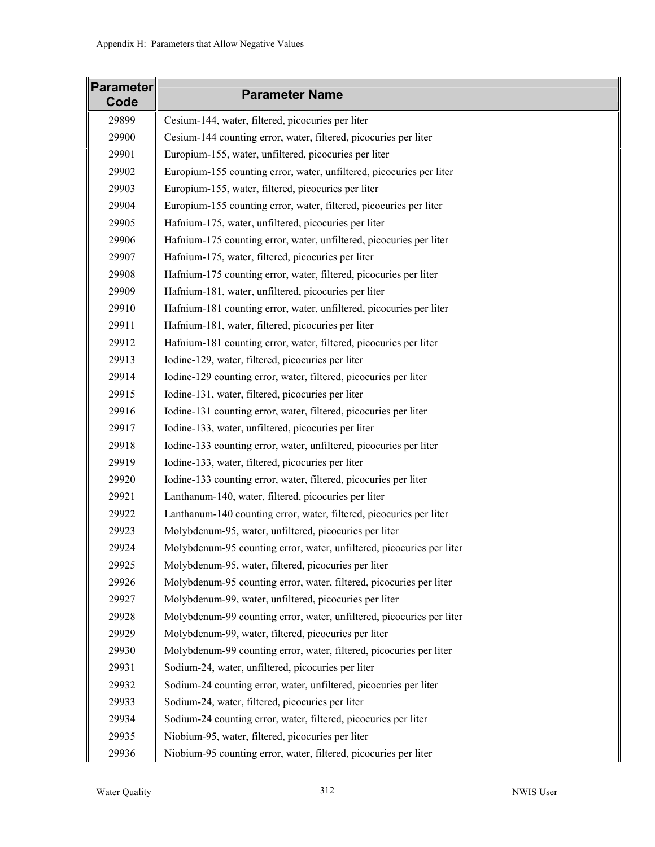| <b>Parameter</b><br>Code | <b>Parameter Name</b>                                                 |
|--------------------------|-----------------------------------------------------------------------|
| 29899                    | Cesium-144, water, filtered, picocuries per liter                     |
| 29900                    | Cesium-144 counting error, water, filtered, picocuries per liter      |
| 29901                    | Europium-155, water, unfiltered, picocuries per liter                 |
| 29902                    | Europium-155 counting error, water, unfiltered, picocuries per liter  |
| 29903                    | Europium-155, water, filtered, picocuries per liter                   |
| 29904                    | Europium-155 counting error, water, filtered, picocuries per liter    |
| 29905                    | Hafnium-175, water, unfiltered, picocuries per liter                  |
| 29906                    | Hafnium-175 counting error, water, unfiltered, picocuries per liter   |
| 29907                    | Hafnium-175, water, filtered, picocuries per liter                    |
| 29908                    | Hafnium-175 counting error, water, filtered, picocuries per liter     |
| 29909                    | Hafnium-181, water, unfiltered, picocuries per liter                  |
| 29910                    | Hafnium-181 counting error, water, unfiltered, picocuries per liter   |
| 29911                    | Hafnium-181, water, filtered, picocuries per liter                    |
| 29912                    | Hafnium-181 counting error, water, filtered, picocuries per liter     |
| 29913                    | Iodine-129, water, filtered, picocuries per liter                     |
| 29914                    | Iodine-129 counting error, water, filtered, picocuries per liter      |
| 29915                    | Iodine-131, water, filtered, picocuries per liter                     |
| 29916                    | Iodine-131 counting error, water, filtered, picocuries per liter      |
| 29917                    | Iodine-133, water, unfiltered, picocuries per liter                   |
| 29918                    | Iodine-133 counting error, water, unfiltered, picocuries per liter    |
| 29919                    | Iodine-133, water, filtered, picocuries per liter                     |
| 29920                    | Iodine-133 counting error, water, filtered, picocuries per liter      |
| 29921                    | Lanthanum-140, water, filtered, picocuries per liter                  |
| 29922                    | Lanthanum-140 counting error, water, filtered, picocuries per liter   |
| 29923                    | Molybdenum-95, water, unfiltered, picocuries per liter                |
| 29924                    | Molybdenum-95 counting error, water, unfiltered, picocuries per liter |
| 29925                    | Molybdenum-95, water, filtered, picocuries per liter                  |
| 29926                    | Molybdenum-95 counting error, water, filtered, picocuries per liter   |
| 29927                    | Molybdenum-99, water, unfiltered, picocuries per liter                |
| 29928                    | Molybdenum-99 counting error, water, unfiltered, picocuries per liter |
| 29929                    | Molybdenum-99, water, filtered, picocuries per liter                  |
| 29930                    | Molybdenum-99 counting error, water, filtered, picocuries per liter   |
| 29931                    | Sodium-24, water, unfiltered, picocuries per liter                    |
| 29932                    | Sodium-24 counting error, water, unfiltered, picocuries per liter     |
| 29933                    | Sodium-24, water, filtered, picocuries per liter                      |
| 29934                    | Sodium-24 counting error, water, filtered, picocuries per liter       |
| 29935                    | Niobium-95, water, filtered, picocuries per liter                     |
| 29936                    | Niobium-95 counting error, water, filtered, picocuries per liter      |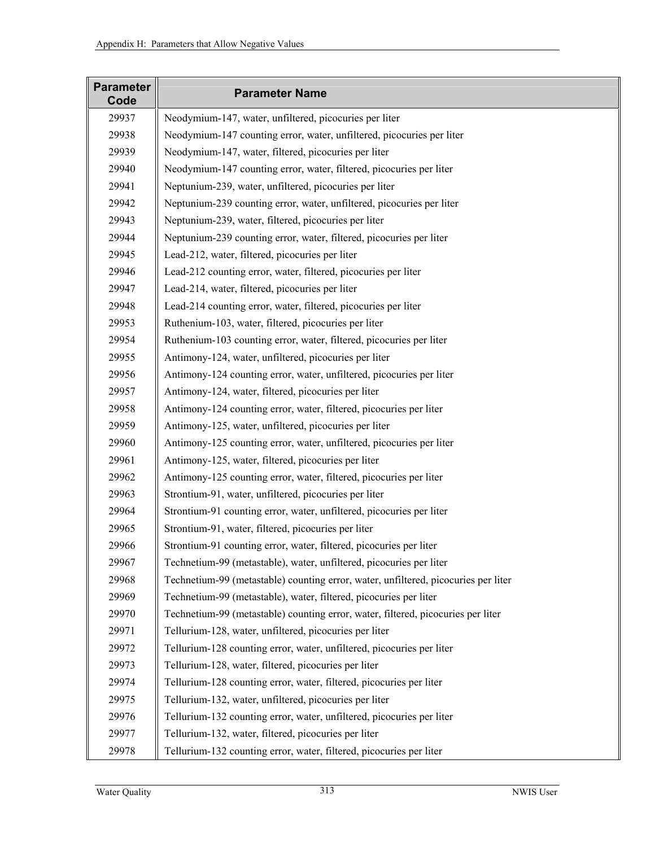| <b>Parameter</b><br>Code | <b>Parameter Name</b>                                                              |
|--------------------------|------------------------------------------------------------------------------------|
| 29937                    | Neodymium-147, water, unfiltered, picocuries per liter                             |
| 29938                    | Neodymium-147 counting error, water, unfiltered, picocuries per liter              |
| 29939                    | Neodymium-147, water, filtered, picocuries per liter                               |
| 29940                    | Neodymium-147 counting error, water, filtered, picocuries per liter                |
| 29941                    | Neptunium-239, water, unfiltered, picocuries per liter                             |
| 29942                    | Neptunium-239 counting error, water, unfiltered, picocuries per liter              |
| 29943                    | Neptunium-239, water, filtered, picocuries per liter                               |
| 29944                    | Neptunium-239 counting error, water, filtered, picocuries per liter                |
| 29945                    | Lead-212, water, filtered, picocuries per liter                                    |
| 29946                    | Lead-212 counting error, water, filtered, picocuries per liter                     |
| 29947                    | Lead-214, water, filtered, picocuries per liter                                    |
| 29948                    | Lead-214 counting error, water, filtered, picocuries per liter                     |
| 29953                    | Ruthenium-103, water, filtered, picocuries per liter                               |
| 29954                    | Ruthenium-103 counting error, water, filtered, picocuries per liter                |
| 29955                    | Antimony-124, water, unfiltered, picocuries per liter                              |
| 29956                    | Antimony-124 counting error, water, unfiltered, picocuries per liter               |
| 29957                    | Antimony-124, water, filtered, picocuries per liter                                |
| 29958                    | Antimony-124 counting error, water, filtered, picocuries per liter                 |
| 29959                    | Antimony-125, water, unfiltered, picocuries per liter                              |
| 29960                    | Antimony-125 counting error, water, unfiltered, picocuries per liter               |
| 29961                    | Antimony-125, water, filtered, picocuries per liter                                |
| 29962                    | Antimony-125 counting error, water, filtered, picocuries per liter                 |
| 29963                    | Strontium-91, water, unfiltered, picocuries per liter                              |
| 29964                    | Strontium-91 counting error, water, unfiltered, picocuries per liter               |
| 29965                    | Strontium-91, water, filtered, picocuries per liter                                |
| 29966                    | Strontium-91 counting error, water, filtered, picocuries per liter                 |
| 29967                    | Technetium-99 (metastable), water, unfiltered, picocuries per liter                |
| 29968                    | Technetium-99 (metastable) counting error, water, unfiltered, picocuries per liter |
| 29969                    | Technetium-99 (metastable), water, filtered, picocuries per liter                  |
| 29970                    | Technetium-99 (metastable) counting error, water, filtered, picocuries per liter   |
| 29971                    | Tellurium-128, water, unfiltered, picocuries per liter                             |
| 29972                    | Tellurium-128 counting error, water, unfiltered, picocuries per liter              |
| 29973                    | Tellurium-128, water, filtered, picocuries per liter                               |
| 29974                    | Tellurium-128 counting error, water, filtered, picocuries per liter                |
| 29975                    | Tellurium-132, water, unfiltered, picocuries per liter                             |
| 29976                    | Tellurium-132 counting error, water, unfiltered, picocuries per liter              |
| 29977                    | Tellurium-132, water, filtered, picocuries per liter                               |
| 29978                    | Tellurium-132 counting error, water, filtered, picocuries per liter                |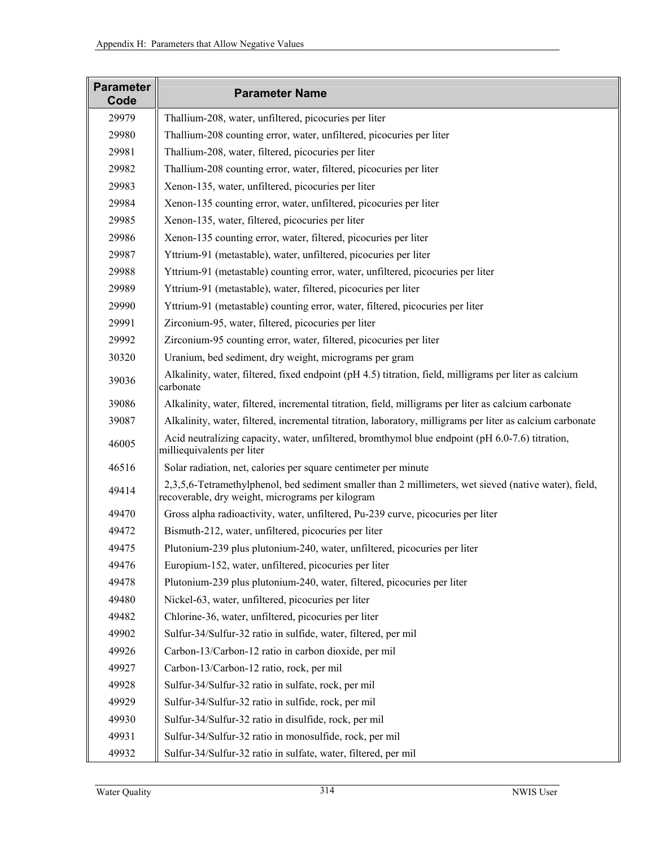| <b>Parameter</b><br>Code | <b>Parameter Name</b>                                                                                                                                     |
|--------------------------|-----------------------------------------------------------------------------------------------------------------------------------------------------------|
| 29979                    | Thallium-208, water, unfiltered, picocuries per liter                                                                                                     |
| 29980                    | Thallium-208 counting error, water, unfiltered, picocuries per liter                                                                                      |
| 29981                    | Thallium-208, water, filtered, picocuries per liter                                                                                                       |
| 29982                    | Thallium-208 counting error, water, filtered, picocuries per liter                                                                                        |
| 29983                    | Xenon-135, water, unfiltered, picocuries per liter                                                                                                        |
| 29984                    | Xenon-135 counting error, water, unfiltered, picocuries per liter                                                                                         |
| 29985                    | Xenon-135, water, filtered, picocuries per liter                                                                                                          |
| 29986                    | Xenon-135 counting error, water, filtered, picocuries per liter                                                                                           |
| 29987                    | Yttrium-91 (metastable), water, unfiltered, picocuries per liter                                                                                          |
| 29988                    | Yttrium-91 (metastable) counting error, water, unfiltered, picocuries per liter                                                                           |
| 29989                    | Yttrium-91 (metastable), water, filtered, picocuries per liter                                                                                            |
| 29990                    | Yttrium-91 (metastable) counting error, water, filtered, picocuries per liter                                                                             |
| 29991                    | Zirconium-95, water, filtered, picocuries per liter                                                                                                       |
| 29992                    | Zirconium-95 counting error, water, filtered, picocuries per liter                                                                                        |
| 30320                    | Uranium, bed sediment, dry weight, micrograms per gram                                                                                                    |
| 39036                    | Alkalinity, water, filtered, fixed endpoint (pH 4.5) titration, field, milligrams per liter as calcium<br>carbonate                                       |
| 39086                    | Alkalinity, water, filtered, incremental titration, field, milligrams per liter as calcium carbonate                                                      |
| 39087                    | Alkalinity, water, filtered, incremental titration, laboratory, milligrams per liter as calcium carbonate                                                 |
| 46005                    | Acid neutralizing capacity, water, unfiltered, bromthymol blue endpoint (pH 6.0-7.6) titration,<br>milliequivalents per liter                             |
| 46516                    | Solar radiation, net, calories per square centimeter per minute                                                                                           |
| 49414                    | 2,3,5,6-Tetramethylphenol, bed sediment smaller than 2 millimeters, wet sieved (native water), field,<br>recoverable, dry weight, micrograms per kilogram |
| 49470                    | Gross alpha radioactivity, water, unfiltered, Pu-239 curve, picocuries per liter                                                                          |
| 49472                    | Bismuth-212, water, unfiltered, picocuries per liter                                                                                                      |
| 49475                    | Plutonium-239 plus plutonium-240, water, unfiltered, picocuries per liter                                                                                 |
| 49476                    | Europium-152, water, unfiltered, picocuries per liter                                                                                                     |
| 49478                    | Plutonium-239 plus plutonium-240, water, filtered, picocuries per liter                                                                                   |
| 49480                    | Nickel-63, water, unfiltered, picocuries per liter                                                                                                        |
| 49482                    | Chlorine-36, water, unfiltered, picocuries per liter                                                                                                      |
| 49902                    | Sulfur-34/Sulfur-32 ratio in sulfide, water, filtered, per mil                                                                                            |
| 49926                    | Carbon-13/Carbon-12 ratio in carbon dioxide, per mil                                                                                                      |
| 49927                    | Carbon-13/Carbon-12 ratio, rock, per mil                                                                                                                  |
| 49928                    | Sulfur-34/Sulfur-32 ratio in sulfate, rock, per mil                                                                                                       |
| 49929                    | Sulfur-34/Sulfur-32 ratio in sulfide, rock, per mil                                                                                                       |
| 49930                    | Sulfur-34/Sulfur-32 ratio in disulfide, rock, per mil                                                                                                     |
| 49931                    | Sulfur-34/Sulfur-32 ratio in monosulfide, rock, per mil                                                                                                   |
| 49932                    | Sulfur-34/Sulfur-32 ratio in sulfate, water, filtered, per mil                                                                                            |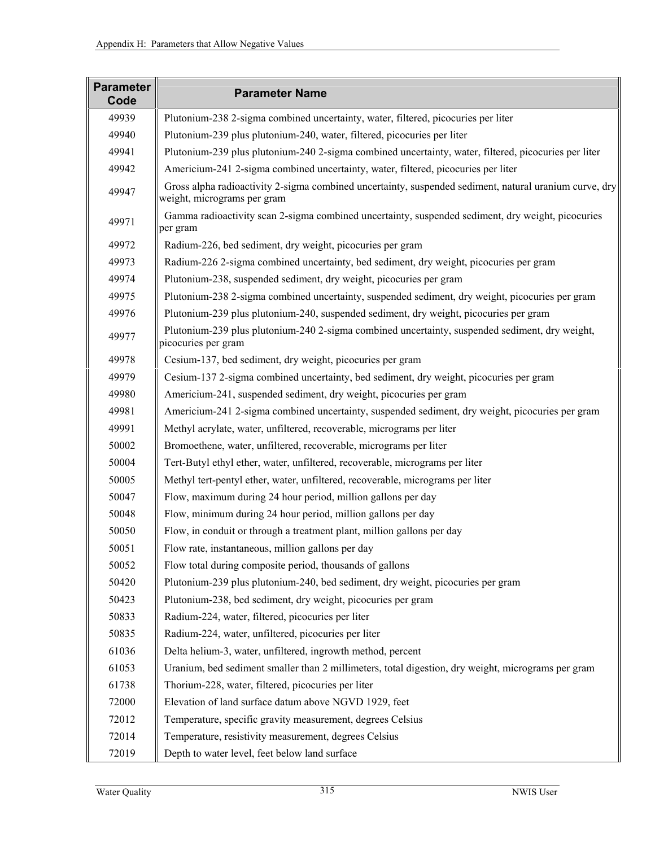| <b>Parameter</b><br>Code | <b>Parameter Name</b>                                                                                                                 |
|--------------------------|---------------------------------------------------------------------------------------------------------------------------------------|
| 49939                    | Plutonium-238 2-sigma combined uncertainty, water, filtered, picocuries per liter                                                     |
| 49940                    | Plutonium-239 plus plutonium-240, water, filtered, picocuries per liter                                                               |
| 49941                    | Plutonium-239 plus plutonium-240 2-sigma combined uncertainty, water, filtered, picocuries per liter                                  |
| 49942                    | Americium-241 2-sigma combined uncertainty, water, filtered, picocuries per liter                                                     |
| 49947                    | Gross alpha radioactivity 2-sigma combined uncertainty, suspended sediment, natural uranium curve, dry<br>weight, micrograms per gram |
| 49971                    | Gamma radioactivity scan 2-sigma combined uncertainty, suspended sediment, dry weight, picocuries<br>per gram                         |
| 49972                    | Radium-226, bed sediment, dry weight, picocuries per gram                                                                             |
| 49973                    | Radium-226 2-sigma combined uncertainty, bed sediment, dry weight, picocuries per gram                                                |
| 49974                    | Plutonium-238, suspended sediment, dry weight, picocuries per gram                                                                    |
| 49975                    | Plutonium-238 2-sigma combined uncertainty, suspended sediment, dry weight, picocuries per gram                                       |
| 49976                    | Plutonium-239 plus plutonium-240, suspended sediment, dry weight, picocuries per gram                                                 |
| 49977                    | Plutonium-239 plus plutonium-240 2-sigma combined uncertainty, suspended sediment, dry weight,<br>picocuries per gram                 |
| 49978                    | Cesium-137, bed sediment, dry weight, picocuries per gram                                                                             |
| 49979                    | Cesium-137 2-sigma combined uncertainty, bed sediment, dry weight, picocuries per gram                                                |
| 49980                    | Americium-241, suspended sediment, dry weight, picocuries per gram                                                                    |
| 49981                    | Americium-241 2-sigma combined uncertainty, suspended sediment, dry weight, picocuries per gram                                       |
| 49991                    | Methyl acrylate, water, unfiltered, recoverable, micrograms per liter                                                                 |
| 50002                    | Bromoethene, water, unfiltered, recoverable, micrograms per liter                                                                     |
| 50004                    | Tert-Butyl ethyl ether, water, unfiltered, recoverable, micrograms per liter                                                          |
| 50005                    | Methyl tert-pentyl ether, water, unfiltered, recoverable, micrograms per liter                                                        |
| 50047                    | Flow, maximum during 24 hour period, million gallons per day                                                                          |
| 50048                    | Flow, minimum during 24 hour period, million gallons per day                                                                          |
| 50050                    | Flow, in conduit or through a treatment plant, million gallons per day                                                                |
| 50051                    | Flow rate, instantaneous, million gallons per day                                                                                     |
| 50052                    | Flow total during composite period, thousands of gallons                                                                              |
| 50420                    | Plutonium-239 plus plutonium-240, bed sediment, dry weight, picocuries per gram                                                       |
| 50423                    | Plutonium-238, bed sediment, dry weight, picocuries per gram                                                                          |
| 50833                    | Radium-224, water, filtered, picocuries per liter                                                                                     |
| 50835                    | Radium-224, water, unfiltered, picocuries per liter                                                                                   |
| 61036                    | Delta helium-3, water, unfiltered, ingrowth method, percent                                                                           |
| 61053                    | Uranium, bed sediment smaller than 2 millimeters, total digestion, dry weight, micrograms per gram                                    |
| 61738                    | Thorium-228, water, filtered, picocuries per liter                                                                                    |
| 72000                    | Elevation of land surface datum above NGVD 1929, feet                                                                                 |
| 72012                    | Temperature, specific gravity measurement, degrees Celsius                                                                            |
| 72014                    | Temperature, resistivity measurement, degrees Celsius                                                                                 |
| 72019                    | Depth to water level, feet below land surface                                                                                         |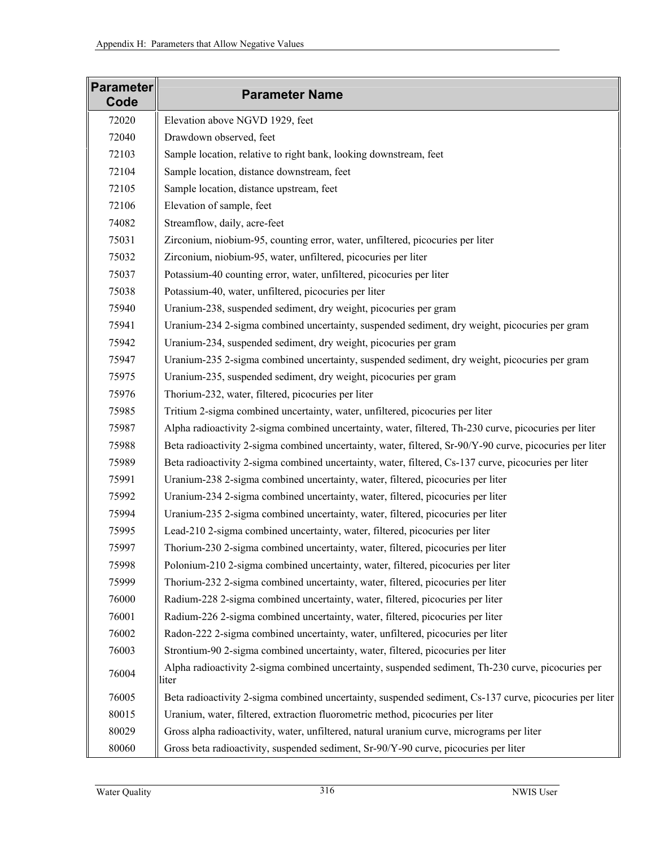| <b>Parameter</b><br>Code | <b>Parameter Name</b>                                                                                       |
|--------------------------|-------------------------------------------------------------------------------------------------------------|
| 72020                    | Elevation above NGVD 1929, feet                                                                             |
| 72040                    | Drawdown observed, feet                                                                                     |
| 72103                    | Sample location, relative to right bank, looking downstream, feet                                           |
| 72104                    | Sample location, distance downstream, feet                                                                  |
| 72105                    | Sample location, distance upstream, feet                                                                    |
| 72106                    | Elevation of sample, feet                                                                                   |
| 74082                    | Streamflow, daily, acre-feet                                                                                |
| 75031                    | Zirconium, niobium-95, counting error, water, unfiltered, picocuries per liter                              |
| 75032                    | Zirconium, niobium-95, water, unfiltered, picocuries per liter                                              |
| 75037                    | Potassium-40 counting error, water, unfiltered, picocuries per liter                                        |
| 75038                    | Potassium-40, water, unfiltered, picocuries per liter                                                       |
| 75940                    | Uranium-238, suspended sediment, dry weight, picocuries per gram                                            |
| 75941                    | Uranium-234 2-sigma combined uncertainty, suspended sediment, dry weight, picocuries per gram               |
| 75942                    | Uranium-234, suspended sediment, dry weight, picocuries per gram                                            |
| 75947                    | Uranium-235 2-sigma combined uncertainty, suspended sediment, dry weight, picocuries per gram               |
| 75975                    | Uranium-235, suspended sediment, dry weight, picocuries per gram                                            |
| 75976                    | Thorium-232, water, filtered, picocuries per liter                                                          |
| 75985                    | Tritium 2-sigma combined uncertainty, water, unfiltered, picocuries per liter                               |
| 75987                    | Alpha radioactivity 2-sigma combined uncertainty, water, filtered, Th-230 curve, picocuries per liter       |
| 75988                    | Beta radioactivity 2-sigma combined uncertainty, water, filtered, Sr-90/Y-90 curve, picocuries per liter    |
| 75989                    | Beta radioactivity 2-sigma combined uncertainty, water, filtered, Cs-137 curve, picocuries per liter        |
| 75991                    | Uranium-238 2-sigma combined uncertainty, water, filtered, picocuries per liter                             |
| 75992                    | Uranium-234 2-sigma combined uncertainty, water, filtered, picocuries per liter                             |
| 75994                    | Uranium-235 2-sigma combined uncertainty, water, filtered, picocuries per liter                             |
| 75995                    | Lead-210 2-sigma combined uncertainty, water, filtered, picocuries per liter                                |
| 75997                    | Thorium-230 2-sigma combined uncertainty, water, filtered, picocuries per liter                             |
| 75998                    | Polonium-210 2-sigma combined uncertainty, water, filtered, picocuries per liter                            |
| 75999                    | Thorium-232 2-sigma combined uncertainty, water, filtered, picocuries per liter                             |
| 76000                    | Radium-228 2-sigma combined uncertainty, water, filtered, picocuries per liter                              |
| 76001                    | Radium-226 2-sigma combined uncertainty, water, filtered, picocuries per liter                              |
| 76002                    | Radon-222 2-sigma combined uncertainty, water, unfiltered, picocuries per liter                             |
| 76003                    | Strontium-90 2-sigma combined uncertainty, water, filtered, picocuries per liter                            |
| 76004                    | Alpha radioactivity 2-sigma combined uncertainty, suspended sediment, Th-230 curve, picocuries per<br>liter |
| 76005                    | Beta radioactivity 2-sigma combined uncertainty, suspended sediment, Cs-137 curve, picocuries per liter     |
| 80015                    | Uranium, water, filtered, extraction fluorometric method, picocuries per liter                              |
| 80029                    | Gross alpha radioactivity, water, unfiltered, natural uranium curve, micrograms per liter                   |
| 80060                    | Gross beta radioactivity, suspended sediment, Sr-90/Y-90 curve, picocuries per liter                        |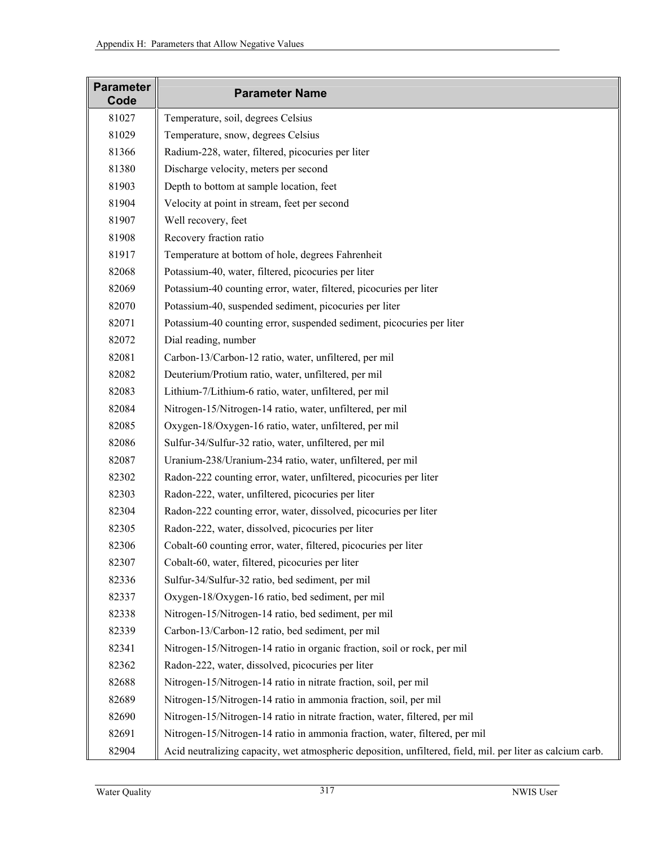| <b>Parameter</b><br>Code | <b>Parameter Name</b>                                                                                      |
|--------------------------|------------------------------------------------------------------------------------------------------------|
| 81027                    | Temperature, soil, degrees Celsius                                                                         |
| 81029                    | Temperature, snow, degrees Celsius                                                                         |
| 81366                    | Radium-228, water, filtered, picocuries per liter                                                          |
| 81380                    | Discharge velocity, meters per second                                                                      |
| 81903                    | Depth to bottom at sample location, feet                                                                   |
| 81904                    | Velocity at point in stream, feet per second                                                               |
| 81907                    | Well recovery, feet                                                                                        |
| 81908                    | Recovery fraction ratio                                                                                    |
| 81917                    | Temperature at bottom of hole, degrees Fahrenheit                                                          |
| 82068                    | Potassium-40, water, filtered, picocuries per liter                                                        |
| 82069                    | Potassium-40 counting error, water, filtered, picocuries per liter                                         |
| 82070                    | Potassium-40, suspended sediment, picocuries per liter                                                     |
| 82071                    | Potassium-40 counting error, suspended sediment, picocuries per liter                                      |
| 82072                    | Dial reading, number                                                                                       |
| 82081                    | Carbon-13/Carbon-12 ratio, water, unfiltered, per mil                                                      |
| 82082                    | Deuterium/Protium ratio, water, unfiltered, per mil                                                        |
| 82083                    | Lithium-7/Lithium-6 ratio, water, unfiltered, per mil                                                      |
| 82084                    | Nitrogen-15/Nitrogen-14 ratio, water, unfiltered, per mil                                                  |
| 82085                    | Oxygen-18/Oxygen-16 ratio, water, unfiltered, per mil                                                      |
| 82086                    | Sulfur-34/Sulfur-32 ratio, water, unfiltered, per mil                                                      |
| 82087                    | Uranium-238/Uranium-234 ratio, water, unfiltered, per mil                                                  |
| 82302                    | Radon-222 counting error, water, unfiltered, picocuries per liter                                          |
| 82303                    | Radon-222, water, unfiltered, picocuries per liter                                                         |
| 82304                    | Radon-222 counting error, water, dissolved, picocuries per liter                                           |
| 82305                    | Radon-222, water, dissolved, picocuries per liter                                                          |
| 82306                    | Cobalt-60 counting error, water, filtered, picocuries per liter                                            |
| 82307                    | Cobalt-60, water, filtered, picocuries per liter                                                           |
| 82336                    | Sulfur-34/Sulfur-32 ratio, bed sediment, per mil                                                           |
| 82337                    | Oxygen-18/Oxygen-16 ratio, bed sediment, per mil                                                           |
| 82338                    | Nitrogen-15/Nitrogen-14 ratio, bed sediment, per mil                                                       |
| 82339                    | Carbon-13/Carbon-12 ratio, bed sediment, per mil                                                           |
| 82341                    | Nitrogen-15/Nitrogen-14 ratio in organic fraction, soil or rock, per mil                                   |
| 82362                    | Radon-222, water, dissolved, picocuries per liter                                                          |
| 82688                    | Nitrogen-15/Nitrogen-14 ratio in nitrate fraction, soil, per mil                                           |
| 82689                    | Nitrogen-15/Nitrogen-14 ratio in ammonia fraction, soil, per mil                                           |
| 82690                    | Nitrogen-15/Nitrogen-14 ratio in nitrate fraction, water, filtered, per mil                                |
| 82691                    | Nitrogen-15/Nitrogen-14 ratio in ammonia fraction, water, filtered, per mil                                |
| 82904                    | Acid neutralizing capacity, wet atmospheric deposition, unfiltered, field, mil. per liter as calcium carb. |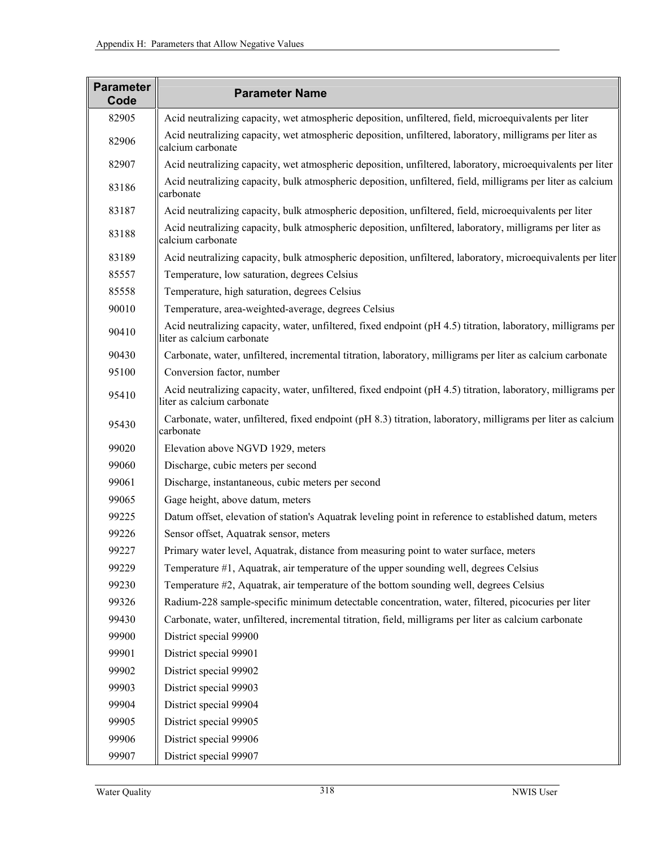| <b>Parameter</b><br>Code | <b>Parameter Name</b>                                                                                                                      |
|--------------------------|--------------------------------------------------------------------------------------------------------------------------------------------|
| 82905                    | Acid neutralizing capacity, wet atmospheric deposition, unfiltered, field, microequivalents per liter                                      |
| 82906                    | Acid neutralizing capacity, wet atmospheric deposition, unfiltered, laboratory, milligrams per liter as<br>calcium carbonate               |
| 82907                    | Acid neutralizing capacity, wet atmospheric deposition, unfiltered, laboratory, microequivalents per liter                                 |
| 83186                    | Acid neutralizing capacity, bulk atmospheric deposition, unfiltered, field, milligrams per liter as calcium<br>carbonate                   |
| 83187                    | Acid neutralizing capacity, bulk atmospheric deposition, unfiltered, field, microequivalents per liter                                     |
| 83188                    | Acid neutralizing capacity, bulk atmospheric deposition, unfiltered, laboratory, milligrams per liter as<br>calcium carbonate              |
| 83189                    | Acid neutralizing capacity, bulk atmospheric deposition, unfiltered, laboratory, microequivalents per liter                                |
| 85557                    | Temperature, low saturation, degrees Celsius                                                                                               |
| 85558                    | Temperature, high saturation, degrees Celsius                                                                                              |
| 90010                    | Temperature, area-weighted-average, degrees Celsius                                                                                        |
| 90410                    | Acid neutralizing capacity, water, unfiltered, fixed endpoint (pH 4.5) titration, laboratory, milligrams per<br>liter as calcium carbonate |
| 90430                    | Carbonate, water, unfiltered, incremental titration, laboratory, milligrams per liter as calcium carbonate                                 |
| 95100                    | Conversion factor, number                                                                                                                  |
| 95410                    | Acid neutralizing capacity, water, unfiltered, fixed endpoint (pH 4.5) titration, laboratory, milligrams per<br>liter as calcium carbonate |
| 95430                    | Carbonate, water, unfiltered, fixed endpoint (pH 8.3) titration, laboratory, milligrams per liter as calcium<br>carbonate                  |
| 99020                    | Elevation above NGVD 1929, meters                                                                                                          |
| 99060                    | Discharge, cubic meters per second                                                                                                         |
| 99061                    | Discharge, instantaneous, cubic meters per second                                                                                          |
| 99065                    | Gage height, above datum, meters                                                                                                           |
| 99225                    | Datum offset, elevation of station's Aquatrak leveling point in reference to established datum, meters                                     |
| 99226                    | Sensor offset, Aquatrak sensor, meters                                                                                                     |
| 99227                    | Primary water level, Aquatrak, distance from measuring point to water surface, meters                                                      |
| 99229                    | Temperature #1, Aquatrak, air temperature of the upper sounding well, degrees Celsius                                                      |
| 99230                    | Temperature #2, Aquatrak, air temperature of the bottom sounding well, degrees Celsius                                                     |
| 99326                    | Radium-228 sample-specific minimum detectable concentration, water, filtered, picocuries per liter                                         |
| 99430                    | Carbonate, water, unfiltered, incremental titration, field, milligrams per liter as calcium carbonate                                      |
| 99900                    | District special 99900                                                                                                                     |
| 99901                    | District special 99901                                                                                                                     |
| 99902                    | District special 99902                                                                                                                     |
| 99903                    | District special 99903                                                                                                                     |
| 99904                    | District special 99904                                                                                                                     |
| 99905                    | District special 99905                                                                                                                     |
| 99906                    | District special 99906                                                                                                                     |
| 99907                    | District special 99907                                                                                                                     |